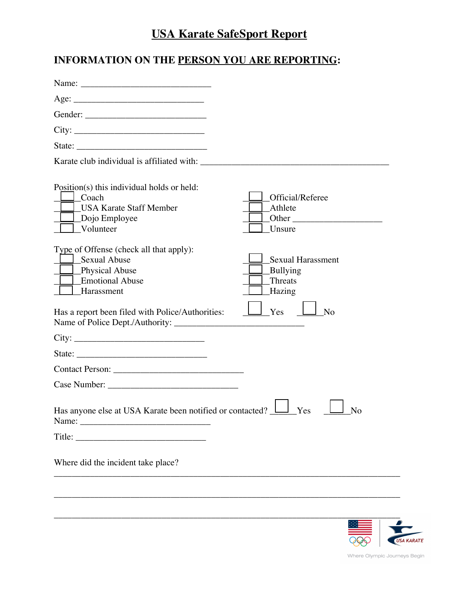# **USA Karate SafeSport Report**

## **INFORMATION ON THE PERSON YOU ARE REPORTING:**

| Age:                                                                                                                                                                                                                                                                                                                                                                                                                                                       |                                                                                    |
|------------------------------------------------------------------------------------------------------------------------------------------------------------------------------------------------------------------------------------------------------------------------------------------------------------------------------------------------------------------------------------------------------------------------------------------------------------|------------------------------------------------------------------------------------|
|                                                                                                                                                                                                                                                                                                                                                                                                                                                            |                                                                                    |
|                                                                                                                                                                                                                                                                                                                                                                                                                                                            |                                                                                    |
|                                                                                                                                                                                                                                                                                                                                                                                                                                                            |                                                                                    |
|                                                                                                                                                                                                                                                                                                                                                                                                                                                            |                                                                                    |
| Position(s) this individual holds or held:<br>Coach<br><b>USA Karate Staff Member</b><br>$\Box$ Dojo Employee<br>Volunteer                                                                                                                                                                                                                                                                                                                                 | Official/Referee<br>Athlete<br>Other<br>Unsure                                     |
| Type of Offense (check all that apply):<br><b>Sexual Abuse</b><br>Physical Abuse<br><b>Emotional Abuse</b><br>Harassment<br>Has a report been filed with Police/Authorities:                                                                                                                                                                                                                                                                               | <b>Sexual Harassment</b><br>Bullying<br>Threats<br>Hazing<br>Yes<br>N <sub>o</sub> |
|                                                                                                                                                                                                                                                                                                                                                                                                                                                            |                                                                                    |
| City:<br>State: $\frac{1}{\sqrt{1-\frac{1}{2}} \cdot \frac{1}{2} \cdot \frac{1}{2} \cdot \frac{1}{2} \cdot \frac{1}{2} \cdot \frac{1}{2} \cdot \frac{1}{2} \cdot \frac{1}{2} \cdot \frac{1}{2} \cdot \frac{1}{2} \cdot \frac{1}{2} \cdot \frac{1}{2} \cdot \frac{1}{2} \cdot \frac{1}{2} \cdot \frac{1}{2} \cdot \frac{1}{2} \cdot \frac{1}{2} \cdot \frac{1}{2} \cdot \frac{1}{2} \cdot \frac{1}{2} \cdot \frac{1}{2} \cdot \frac{1}{2} \cdot \frac{1}{2$ |                                                                                    |
|                                                                                                                                                                                                                                                                                                                                                                                                                                                            |                                                                                    |
|                                                                                                                                                                                                                                                                                                                                                                                                                                                            |                                                                                    |
| Has anyone else at USA Karate been notified or contacted?                                                                                                                                                                                                                                                                                                                                                                                                  | Yes<br>$N_{\Omega}$                                                                |
|                                                                                                                                                                                                                                                                                                                                                                                                                                                            |                                                                                    |
| Where did the incident take place?                                                                                                                                                                                                                                                                                                                                                                                                                         |                                                                                    |
|                                                                                                                                                                                                                                                                                                                                                                                                                                                            |                                                                                    |
|                                                                                                                                                                                                                                                                                                                                                                                                                                                            |                                                                                    |
|                                                                                                                                                                                                                                                                                                                                                                                                                                                            |                                                                                    |



Where Olympic Journeys Begin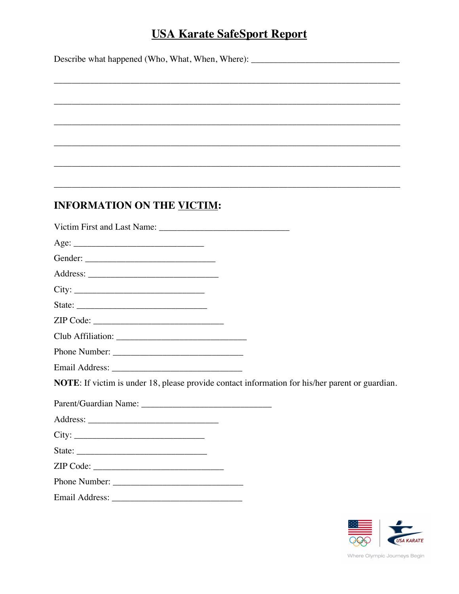### **USA Karate SafeSport Report**

Describe what happened (Who, What, When, Where): \_\_\_\_\_\_\_\_\_\_\_\_\_\_\_\_\_\_\_\_\_\_\_\_\_\_\_\_\_\_\_\_

**INFORMATION ON THE VICTIM:** Victim First and Last Name: Age:  $City:$ State:  $\qquad \qquad$ Phone Number: **NOTE**: If victim is under 18, please provide contact information for his/her parent or guardian.  $City:$ State:  $\qquad \qquad$  $ZIP Code:$ 

Email Address: No. 1996. The Contract of the Contract of the Contract of the Contract of the Contract of the Contract of the Contract of the Contract of the Contract of the Contract of the Contract of the Contract of the C



Where Olympic Journeys Begin